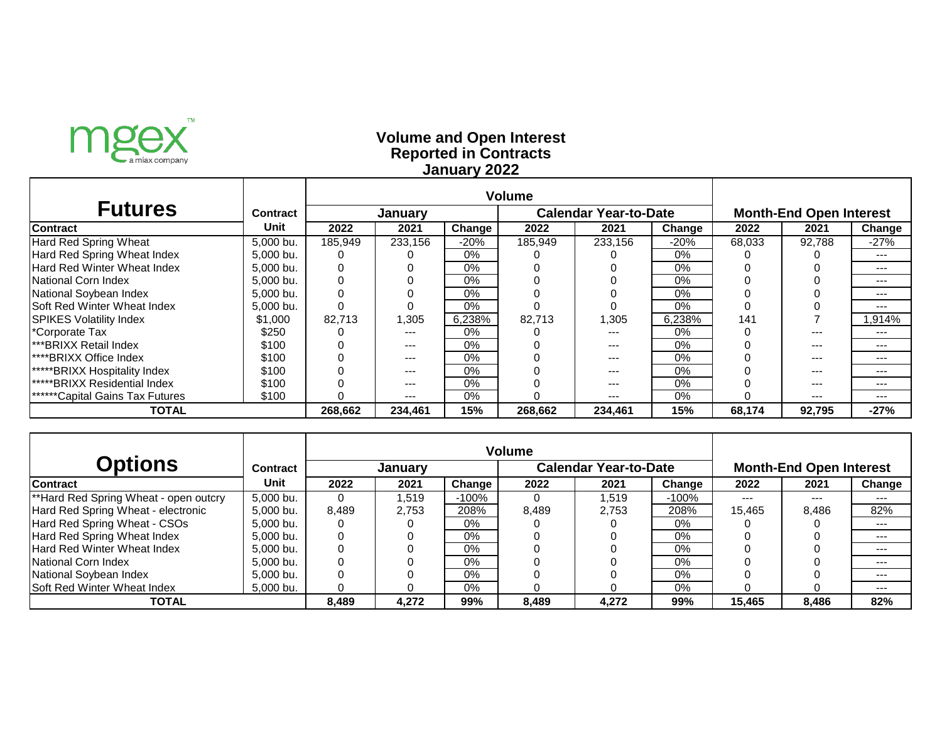

### **Reported in Contracts Volume and Open Interest January 2022**

| <b>Futures</b>                         | <b>Contract</b> |         | <b>January</b> |        | <b>Calendar Year-to-Date</b> |         |        | <b>Month-End Open Interest</b> |         |        |
|----------------------------------------|-----------------|---------|----------------|--------|------------------------------|---------|--------|--------------------------------|---------|--------|
| <b>Contract</b>                        | Unit            | 2022    | 2021           | Change | 2022                         | 2021    | Change | 2022                           | 2021    | Change |
| <b>Hard Red Spring Wheat</b>           | 5,000 bu.       | 185,949 | 233,156        | -20%   | 185,949                      | 233,156 | $-20%$ | 68,033                         | 92,788  | $-27%$ |
| Hard Red Spring Wheat Index            | 5,000 bu.       |         |                | $0\%$  |                              |         | 0%     |                                |         | ---    |
| Hard Red Winter Wheat Index            | 5,000 bu.       | 0       |                | $0\%$  |                              |         | 0%     |                                |         | ---    |
| National Corn Index                    | 5,000 bu.       | 0       |                | $0\%$  |                              |         | 0%     |                                |         | ---    |
| National Soybean Index                 | 5,000 bu.       | 0       |                | $0\%$  |                              |         | 0%     |                                |         | ---    |
| Soft Red Winter Wheat Index            | 5,000 bu.       |         |                | $0\%$  |                              |         | 0%     |                                |         | ---    |
| <b>SPIKES Volatility Index</b>         | \$1,000         | 82,713  | 1,305          | 6,238% | 82,713                       | ,305    | 6,238% | 141                            |         | 914%.  |
| *Corporate Tax                         | \$250           |         | ---            | $0\%$  |                              | $- - -$ | $0\%$  |                                | $- - -$ | ---    |
| <b>***BRIXX Retail Index</b>           | \$100           |         | ---            | $0\%$  |                              | $---$   | $0\%$  |                                | ---     | ---    |
| <b>I****BRIXX Office Index</b>         | \$100           |         | $---$          | $0\%$  |                              | $---$   | $0\%$  |                                | ---     | ---    |
| <b>*****BRIXX Hospitality Index</b>    | \$100           |         | $---$          | $0\%$  |                              | $---$   | $0\%$  |                                | $- - -$ | ---    |
| <b>waterstard</b> Index                | \$100           |         | ---            | $0\%$  |                              | $---$   | 0%     |                                | ---     | ---    |
| <b>******Capital Gains Tax Futures</b> | \$100           |         | ---            | 0%     |                              | $---$   | 0%     |                                | $- - -$ | ---    |
| <b>TOTAL</b>                           |                 | 268,662 | 234,461        | 15%    | 268,662                      | 234,461 | 15%    | 68,174                         | 92,795  | $-27%$ |

|                                       |                 | <b>Volume</b> |                |         |                              |       |         |                                |       |        |  |
|---------------------------------------|-----------------|---------------|----------------|---------|------------------------------|-------|---------|--------------------------------|-------|--------|--|
| <b>Options</b>                        | <b>Contract</b> |               | <b>January</b> |         | <b>Calendar Year-to-Date</b> |       |         | <b>Month-End Open Interest</b> |       |        |  |
| <b>Contract</b>                       | Unit            | 2022          | 2021           | Change  | 2022                         | 2021  | Change  | 2022                           | 2021  | Change |  |
| **Hard Red Spring Wheat - open outcry | 5,000 bu.       | 0             | 1,519          | $-100%$ | O                            | ,519  | $-100%$ | $---$                          | ---   | ---    |  |
| Hard Red Spring Wheat - electronic    | 5,000 bu.       | 8,489         | 2,753          | 208%    | 8,489                        | 2,753 | 208%    | 15,465                         | 8,486 | 82%    |  |
| Hard Red Spring Wheat - CSOs          | 5,000 bu.       | 0             |                | $0\%$   |                              |       | $0\%$   |                                |       | ---    |  |
| Hard Red Spring Wheat Index           | 5,000 bu.       | 0             |                | $0\%$   |                              |       | 0%      |                                |       | ---    |  |
| Hard Red Winter Wheat Index           | 5,000 bu.       |               |                | $0\%$   |                              |       | $0\%$   |                                |       | ---    |  |
| National Corn Index                   | 5,000 bu.       |               |                | $0\%$   |                              |       | $0\%$   |                                |       | ---    |  |
| National Soybean Index                | 5,000 bu.       |               |                | $0\%$   |                              |       | $0\%$   |                                |       | ---    |  |
| Soft Red Winter Wheat Index           | 5,000 bu.       |               |                | $0\%$   |                              |       | $0\%$   |                                |       | $---$  |  |
| <b>TOTAL</b>                          |                 | 8,489         | 4,272          | 99%     | 8,489                        | 4,272 | 99%     | 15,465                         | 8,486 | 82%    |  |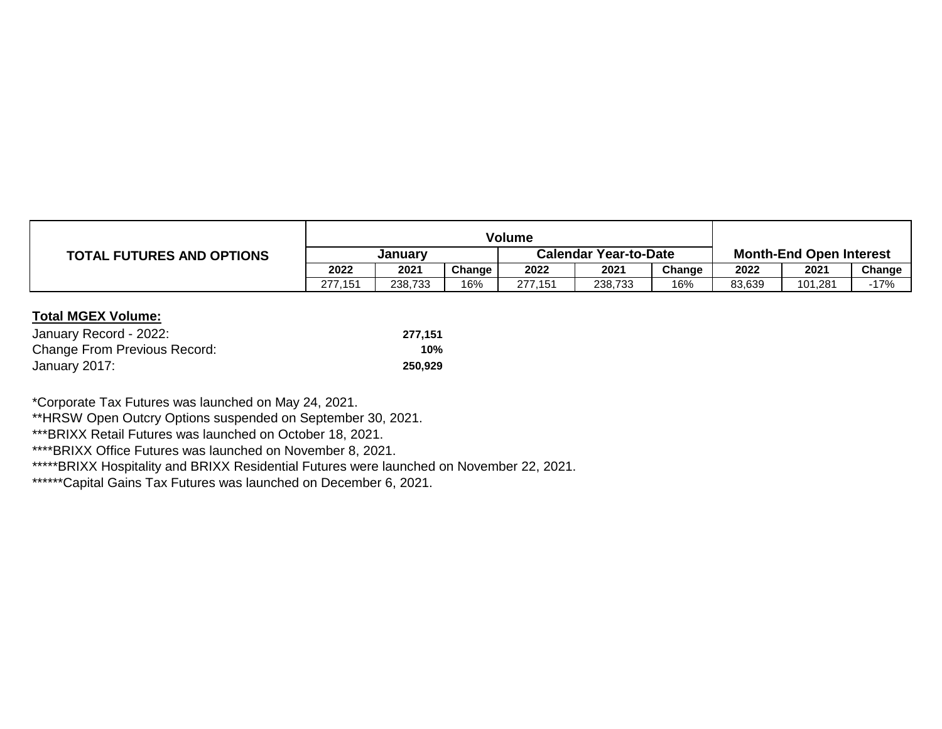|                                  | Volume  |         |        |                              |         |        |                                |         |        |
|----------------------------------|---------|---------|--------|------------------------------|---------|--------|--------------------------------|---------|--------|
| <b>TOTAL FUTURES AND OPTIONS</b> | Januarv |         |        | <b>Calendar Year-to-Date</b> |         |        | <b>Month-End Open Interest</b> |         |        |
|                                  | 2022    | 2021    | Change | 2022                         | 2021    | Change | 2022                           | 2021    | Change |
|                                  | 277,151 | 238,733 | 16%    | 277,151                      | 238,733 | 16%    | 83,639                         | 101,281 | $-17%$ |

| January Record - 2022:              | 277.151 |
|-------------------------------------|---------|
| <b>Change From Previous Record:</b> | 10%     |
| January 2017:                       | 250.929 |

\*Corporate Tax Futures was launched on May 24, 2021.

\*\*HRSW Open Outcry Options suspended on September 30, 2021.

\*\*\*BRIXX Retail Futures was launched on October 18, 2021.

\*\*\*\*BRIXX Office Futures was launched on November 8, 2021.

\*\*\*\*\*BRIXX Hospitality and BRIXX Residential Futures were launched on November 22, 2021.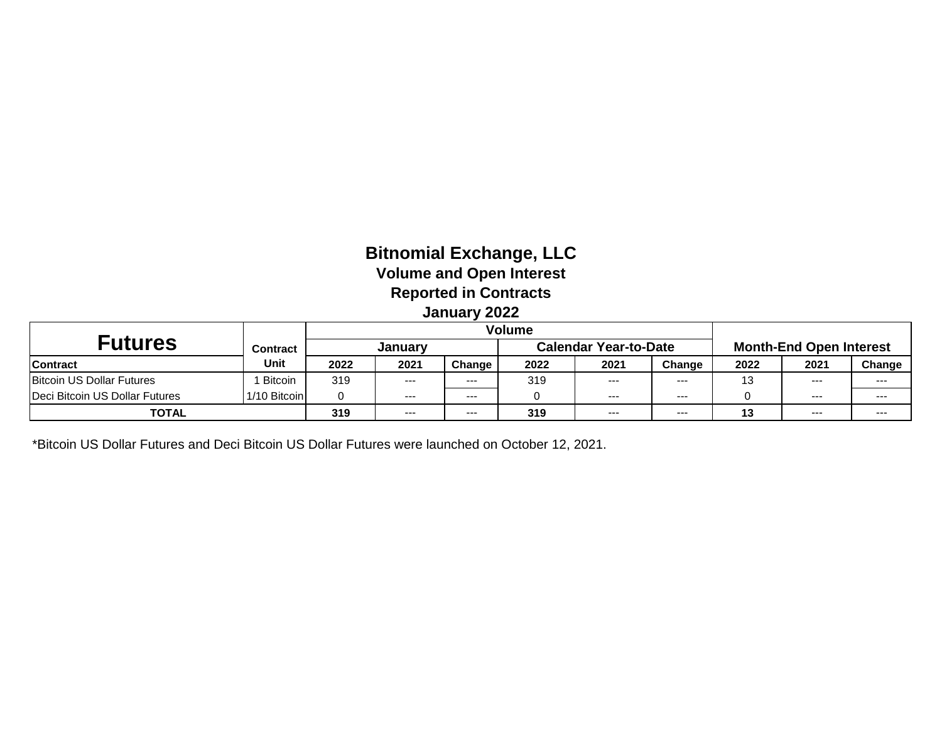# **Bitnomial Exchange, LLC Volume and Open Interest Reported in Contracts January 2022**

| <b>Futures</b>                 | <b>Contract</b> |      | Januarv |         |      | <b>Calendar Year-to-Date</b> |          |          | <b>Month-End Open Interest</b> |         |  |
|--------------------------------|-----------------|------|---------|---------|------|------------------------------|----------|----------|--------------------------------|---------|--|
| <b>Contract</b>                | Unit            | 2022 | 2021    | Change  | 2022 | 2021                         | Change   | 2022     | 2021                           | Change  |  |
| Bitcoin US Dollar Futures      | <b>Bitcoin</b>  | 319  | $---$   | $- - -$ | 319  | $---$                        | $\cdots$ | 12       | ----                           | ---     |  |
| Deci Bitcoin US Dollar Futures | 1/10 Bitcoin    |      | $---$   | $- - -$ |      | $---$                        | $- - -$  |          | $--$                           | $- - -$ |  |
| <b>TOTAL</b>                   |                 | 319  | $- - -$ | $- - -$ | 319  | $---$                        | $- - -$  | 49<br>ТJ | $- - -$                        | ---     |  |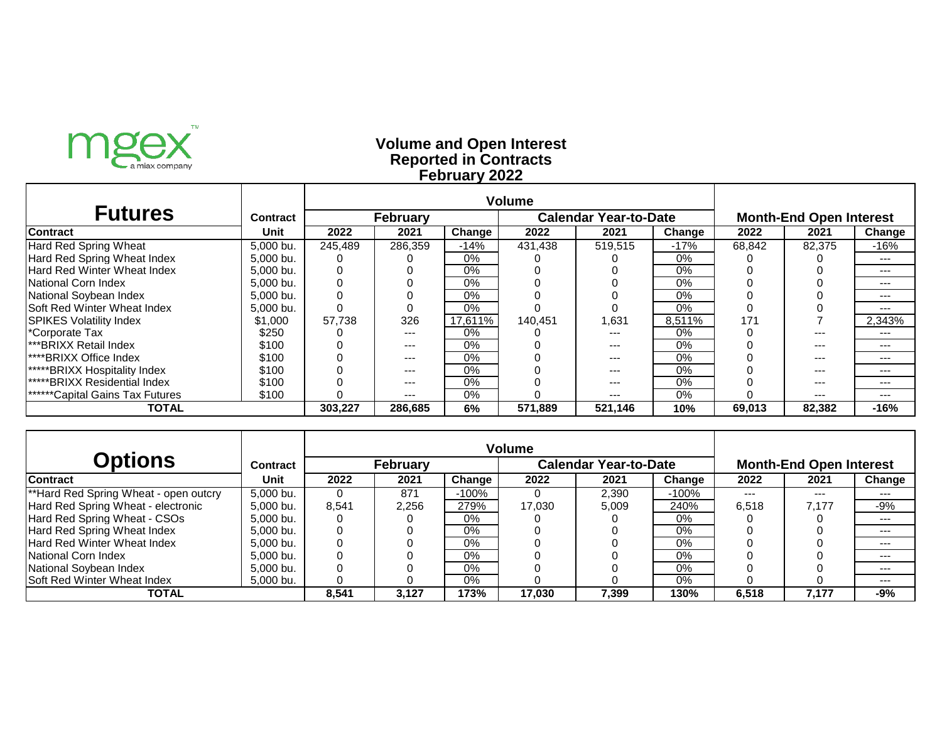

### **Reported in Contracts Volume and Open Interest February 2022**

| <b>Futures</b>                         | <b>Contract</b> |         | <b>February</b> |         |         | <b>Calendar Year-to-Date</b> |        | <b>Month-End Open Interest</b> |         |         |
|----------------------------------------|-----------------|---------|-----------------|---------|---------|------------------------------|--------|--------------------------------|---------|---------|
| <b>Contract</b>                        | Unit            | 2022    | 2021            | Change  | 2022    | 2021                         | Change | 2022                           | 2021    | Change  |
| Hard Red Spring Wheat                  | 5,000 bu.       | 245,489 | 286.359         | -14%    | 431.438 | 519.515                      | $-17%$ | 68,842                         | 82,375  | -16%    |
| Hard Red Spring Wheat Index            | 5,000 bu.       |         |                 | $0\%$   |         |                              | $0\%$  |                                |         | $---$   |
| <b>Hard Red Winter Wheat Index</b>     | 5.000 bu.       |         |                 | $0\%$   |         |                              | $0\%$  |                                |         | $- - -$ |
| National Corn Index                    | 5,000 bu.       |         |                 | $0\%$   |         |                              | $0\%$  |                                |         | $--$    |
| National Soybean Index                 | 5,000 bu.       |         |                 | $0\%$   |         |                              | $0\%$  |                                |         | ---     |
| <b>Soft Red Winter Wheat Index</b>     | 5.000 bu.       |         |                 | $0\%$   |         |                              | $0\%$  |                                |         |         |
| <b>ISPIKES Volatility Index</b>        | \$1,000         | 57.738  | 326             | 17.611% | 140.451 | 1,631                        | 8.511% | 171                            |         | 2.343%  |
| *Corporate Tax                         | \$250           |         | $---$           | $0\%$   |         | ---                          | $0\%$  |                                |         | ---     |
| <b>I***BRIXX Retail Index</b>          | \$100           |         | $---$           | $0\%$   |         | ---                          | $0\%$  |                                |         | ---     |
| <b>I****BRIXX Office Index</b>         | \$100           |         | $--$            | $0\%$   |         | ---                          | $0\%$  |                                |         | ---     |
| *****BRIXX Hospitality Index           | \$100           |         | $--$            | $0\%$   |         | ---                          | $0\%$  |                                | $- - -$ | $---$   |
| <b>*****BRIXX Residential Index</b>    | \$100           |         | $--$            | $0\%$   |         | ---                          | $0\%$  |                                | $- - -$ | $---$   |
| <b>******Capital Gains Tax Futures</b> | \$100           |         | $---$           | $0\%$   |         | ---                          | $0\%$  |                                | $--$    | $--$    |
| TOTAL                                  |                 | 303.227 | 286.685         | 6%      | 571.889 | 521,146                      | 10%    | 69,013                         | 82.382  | $-16%$  |

|                                       |                 | <b>Volume</b> |                 |         |                              |       |         |                                |       |        |  |
|---------------------------------------|-----------------|---------------|-----------------|---------|------------------------------|-------|---------|--------------------------------|-------|--------|--|
| <b>Options</b>                        | <b>Contract</b> |               | <b>February</b> |         | <b>Calendar Year-to-Date</b> |       |         | <b>Month-End Open Interest</b> |       |        |  |
| <b>Contract</b>                       | Unit            | 2022          | 2021            | Change  | 2022                         | 2021  | Change  | 2022                           | 2021  | Change |  |
| **Hard Red Spring Wheat - open outcry | 5,000 bu.       | 0             | 871             | $-100%$ |                              | 2,390 | $-100%$ | $- - -$                        | $---$ | ---    |  |
| Hard Red Spring Wheat - electronic    | 5.000 bu.       | 8,541         | 2,256           | 279%    | 17,030                       | 5,009 | 240%    | 6,518                          | 7,177 | -9%    |  |
| Hard Red Spring Wheat - CSOs          | 5.000 bu.       |               |                 | 0%      |                              |       | 0%      |                                |       | $---$  |  |
| Hard Red Spring Wheat Index           | 5,000 bu.       | 0             |                 | $0\%$   |                              |       | $0\%$   |                                |       | $-- -$ |  |
| <b>Hard Red Winter Wheat Index</b>    | 5.000 bu.       | 0             |                 | $0\%$   |                              |       | 0%      |                                |       | ---    |  |
| <b>National Corn Index</b>            | 5.000 bu.       |               |                 | $0\%$   |                              |       | 0%      |                                |       | ---    |  |
| National Soybean Index                | 5.000 bu.       | 0             |                 | $0\%$   |                              |       | $0\%$   |                                |       | ---    |  |
| <b>Soft Red Winter Wheat Index</b>    | 5,000 bu.       | 0             |                 | $0\%$   |                              |       | 0%      |                                |       | ---    |  |
| TOTAL                                 |                 | 8.541         | 3.127           | 173%    | 17.030                       | 7.399 | 130%    | 6.518                          | 7.177 | -9%    |  |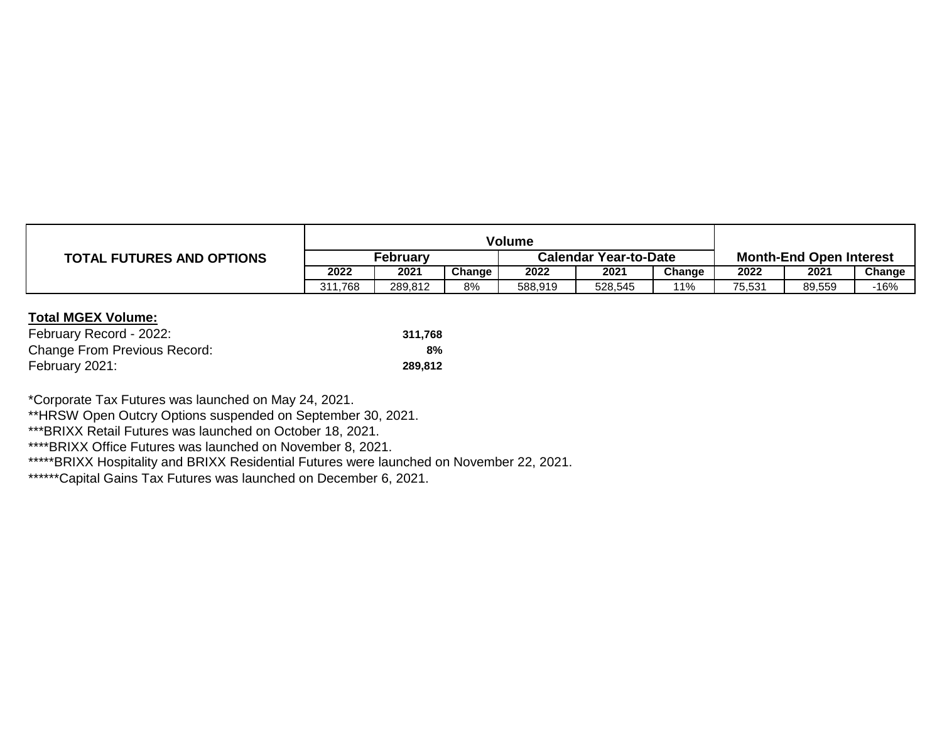|                                  | Volume   |         |        |                              |         |        |                                |        |        |  |  |
|----------------------------------|----------|---------|--------|------------------------------|---------|--------|--------------------------------|--------|--------|--|--|
| <b>TOTAL FUTURES AND OPTIONS</b> | Februarv |         |        | <b>Calendar Year-to-Date</b> |         |        | <b>Month-End Open Interest</b> |        |        |  |  |
|                                  | 2022     | 2021    | Change | 2022                         | 2021    | Change | 2022                           | 2021   | Change |  |  |
|                                  | 311.768  | 289.812 | 8%     | 588,919                      | 528,545 | 11%    | 75,531                         | 89,559 | -16%   |  |  |

| February Record - 2022:             | 311.768 |
|-------------------------------------|---------|
| <b>Change From Previous Record:</b> | $8\%$   |
| February 2021:                      | 289.812 |

\*Corporate Tax Futures was launched on May 24, 2021.

\*\*HRSW Open Outcry Options suspended on September 30, 2021.

\*\*\*BRIXX Retail Futures was launched on October 18, 2021.

\*\*\*\*BRIXX Office Futures was launched on November 8, 2021.

\*\*\*\*\*BRIXX Hospitality and BRIXX Residential Futures were launched on November 22, 2021.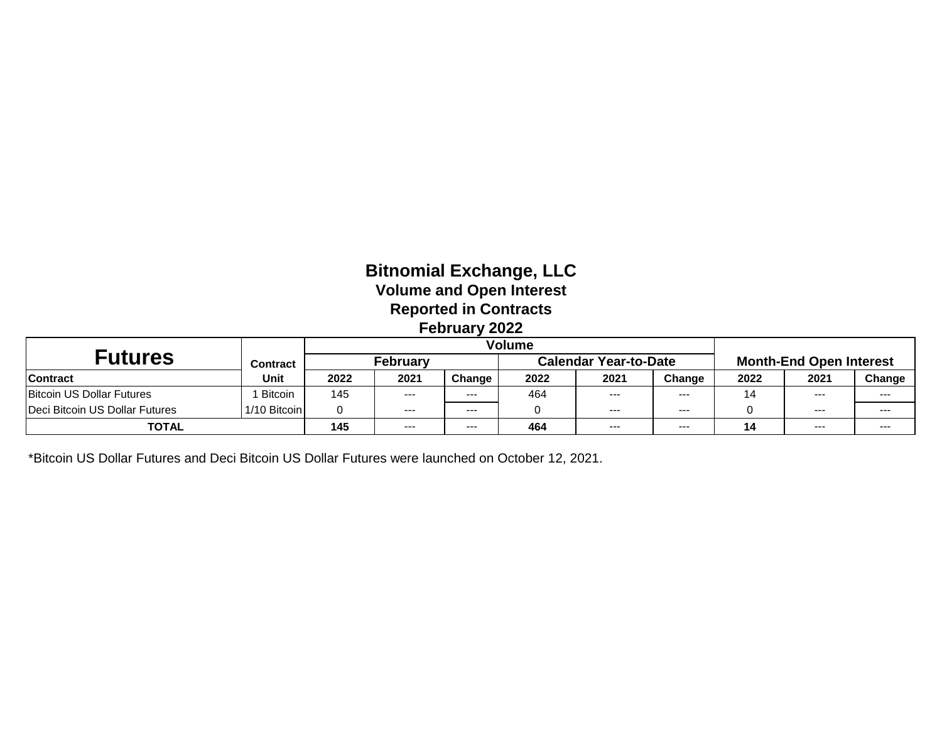# **Bitnomial Exchange, LLC Volume and Open Interest Reported in Contracts February 2022**

|                                |                 | Volume |                 |         |      |                              |         |      |                                |        |  |
|--------------------------------|-----------------|--------|-----------------|---------|------|------------------------------|---------|------|--------------------------------|--------|--|
| <b>Futures</b>                 | <b>Contract</b> |        | <b>February</b> |         |      | <b>Calendar Year-to-Date</b> |         |      | <b>Month-End Open Interest</b> |        |  |
| <b>Contract</b>                | Unit            | 2022   | 2021            | Change  | 2022 | 2021                         | Change  | 2022 | 2021                           | Change |  |
| Bitcoin US Dollar Futures      | <b>Bitcoin</b>  | 145    | ---             | $--$    | 464  | $---$                        | $--$    | 14   | $--$                           | ---    |  |
| Deci Bitcoin US Dollar Futures | 1/10 Bitcoin    |        | $--$            | $- - -$ |      | $---$                        | $--$    |      | $--$                           | ---    |  |
| <b>TOTAL</b>                   |                 | 145    | ---             | $--$    | 464  | $--$                         | $- - -$ |      | $---$                          | ---    |  |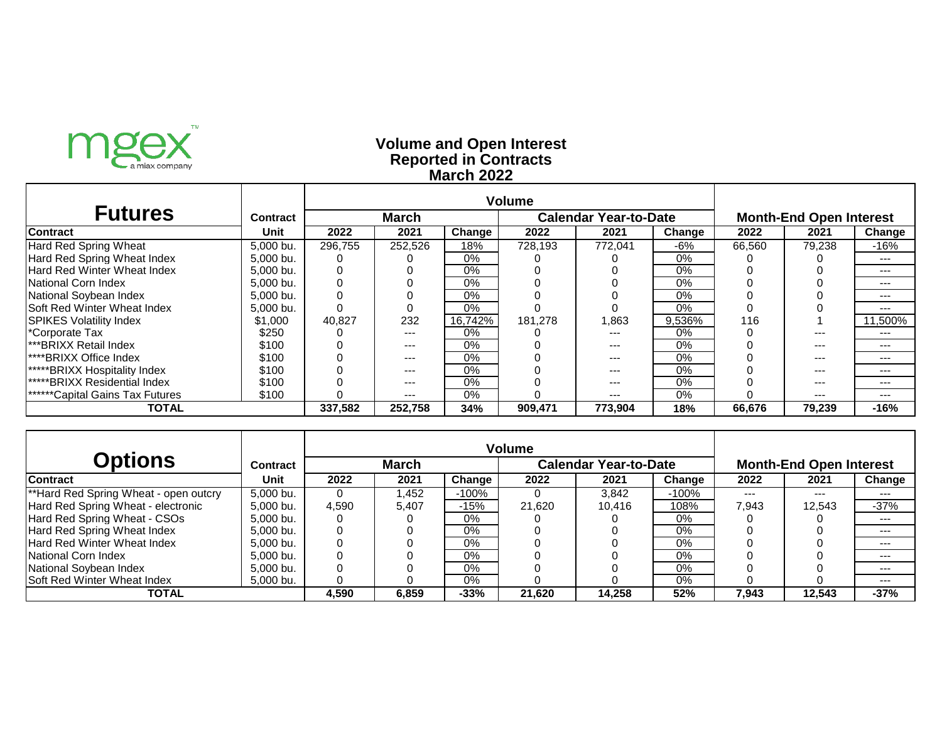

### **Reported in Contracts Volume and Open Interest March 2022**

| <b>Futures</b>                         | <b>Contract</b> |         | <b>March</b> |         |         | <b>Calendar Year-to-Date</b> |        | <b>Month-End Open Interest</b> |         |         |
|----------------------------------------|-----------------|---------|--------------|---------|---------|------------------------------|--------|--------------------------------|---------|---------|
| <b>Contract</b>                        | Unit            | 2022    | 2021         | Change  | 2022    | 2021                         | Change | 2022                           | 2021    | Change  |
| Hard Red Spring Wheat                  | 5,000 bu.       | 296.755 | 252.526      | 18%     | 728.193 | 772.041                      | -6%    | 66,560                         | 79,238  | -16%    |
| Hard Red Spring Wheat Index            | 5,000 bu.       |         |              | $0\%$   |         |                              | $0\%$  |                                |         | $---$   |
| <b>Hard Red Winter Wheat Index</b>     | 5.000 bu.       |         |              | $0\%$   |         |                              | $0\%$  |                                |         | $- - -$ |
| National Corn Index                    | 5,000 bu.       |         |              | $0\%$   |         |                              | $0\%$  |                                |         | $--$    |
| National Soybean Index                 | 5,000 bu.       |         |              | $0\%$   |         |                              | $0\%$  |                                |         | ---     |
| <b>Soft Red Winter Wheat Index</b>     | 5.000 bu.       |         |              | $0\%$   |         |                              | $0\%$  |                                |         |         |
| <b>ISPIKES Volatility Index</b>        | \$1,000         | 40,827  | 232          | 16.742% | 181.278 | 1,863                        | 9.536% | 116                            |         | 11.500% |
| *Corporate Tax                         | \$250           |         | $---$        | $0\%$   |         | ---                          | $0\%$  |                                |         | ---     |
| <b>I***BRIXX Retail Index</b>          | \$100           |         | $---$        | $0\%$   |         | ---                          | $0\%$  |                                |         | ---     |
| <b>I****BRIXX Office Index</b>         | \$100           |         | $--$         | $0\%$   |         | ---                          | $0\%$  |                                |         | ---     |
| *****BRIXX Hospitality Index           | \$100           |         | $--$         | $0\%$   |         | ---                          | $0\%$  |                                | $- - -$ | $---$   |
| <b>*****BRIXX Residential Index</b>    | \$100           |         | $--$         | $0\%$   |         | ---                          | $0\%$  |                                | $- - -$ | $---$   |
| <b>******Capital Gains Tax Futures</b> | \$100           |         | $---$        | $0\%$   |         | $---$                        | $0\%$  |                                | $--$    | $--$    |
| TOTAL                                  |                 | 337,582 | 252.758      | 34%     | 909,471 | 773.904                      | 18%    | 66,676                         | 79,239  | $-16%$  |

|                                       |           | <b>Volume</b> |              |         |                       |        |         |                                |         |         |  |
|---------------------------------------|-----------|---------------|--------------|---------|-----------------------|--------|---------|--------------------------------|---------|---------|--|
| <b>Options</b>                        | Contract  |               | <b>March</b> |         | Calendar Year-to-Date |        |         | <b>Month-End Open Interest</b> |         |         |  |
| <b>Contract</b>                       | Unit      | 2022          | 2021         | Change  | 2022                  | 2021   | Change  | 2022                           | 2021    | Change  |  |
| **Hard Red Spring Wheat - open outcry | 5.000 bu. | 0             | l.452        | $-100%$ |                       | 3.842  | $-100%$ | $- - -$                        | $- - -$ | ---     |  |
| Hard Red Spring Wheat - electronic    | 5.000 bu. | 4.590         | 5.407        | $-15%$  | 21.620                | 10.416 | 108%    | 7.943                          | 12.543  | $-37%$  |  |
| Hard Red Spring Wheat - CSOs          | 5.000 bu. |               |              | 0%      |                       |        | $0\%$   |                                |         | $---$   |  |
| Hard Red Spring Wheat Index           | 5.000 bu. | 0             |              | 0%      |                       |        | $0\%$   |                                |         | ---     |  |
| <b>Hard Red Winter Wheat Index</b>    | 5.000 bu. | 0             |              | 0%      |                       |        | 0%      |                                |         | $---$   |  |
| <b>National Corn Index</b>            | 5.000 bu. |               |              | 0%      |                       |        | $0\%$   |                                |         | ---     |  |
| National Soybean Index                | 5.000 bu. |               |              | $0\%$   |                       |        | $0\%$   |                                |         | $- - -$ |  |
| <b>Soft Red Winter Wheat Index</b>    | 5,000 bu. | O             |              | 0%      |                       |        | $0\%$   |                                |         | ---     |  |
| <b>TOTAL</b>                          |           | 4.590         | 6.859        | $-33%$  | 21.620                | 14.258 | 52%     | 7.943                          | 12.543  | $-37%$  |  |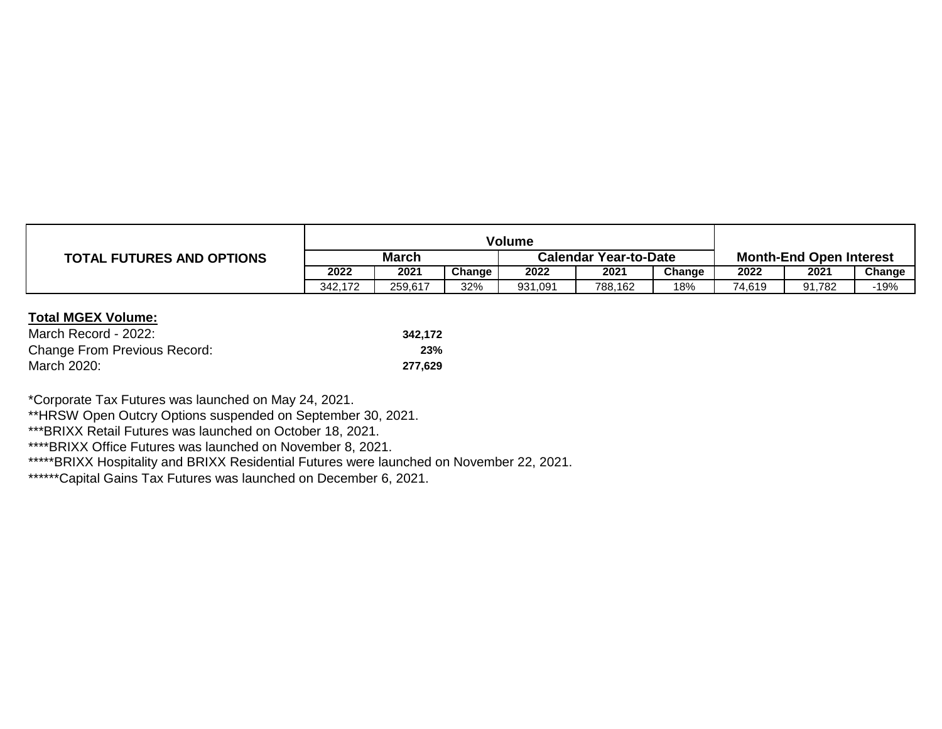|                                  | Volume       |         |        |                              |         |        |                                |        |        |
|----------------------------------|--------------|---------|--------|------------------------------|---------|--------|--------------------------------|--------|--------|
| <b>TOTAL FUTURES AND OPTIONS</b> | <b>March</b> |         |        | <b>Calendar Year-to-Date</b> |         |        | <b>Month-End Open Interest</b> |        |        |
|                                  | 2022         | 2021    | Change | 2022                         | 2021    | Change | 2022                           | 2021   | Change |
|                                  | 342.172      | 259.617 | 32%    | 931,091                      | 788.162 | 18%    | 74.619                         | 91.782 | $-19%$ |

| March Record - 2022:         | 342.172 |
|------------------------------|---------|
| Change From Previous Record: | 23%     |
| March 2020:                  | 277.629 |

\*Corporate Tax Futures was launched on May 24, 2021.

\*\*HRSW Open Outcry Options suspended on September 30, 2021.

\*\*\*BRIXX Retail Futures was launched on October 18, 2021.

\*\*\*\*BRIXX Office Futures was launched on November 8, 2021.

\*\*\*\*\*BRIXX Hospitality and BRIXX Residential Futures were launched on November 22, 2021.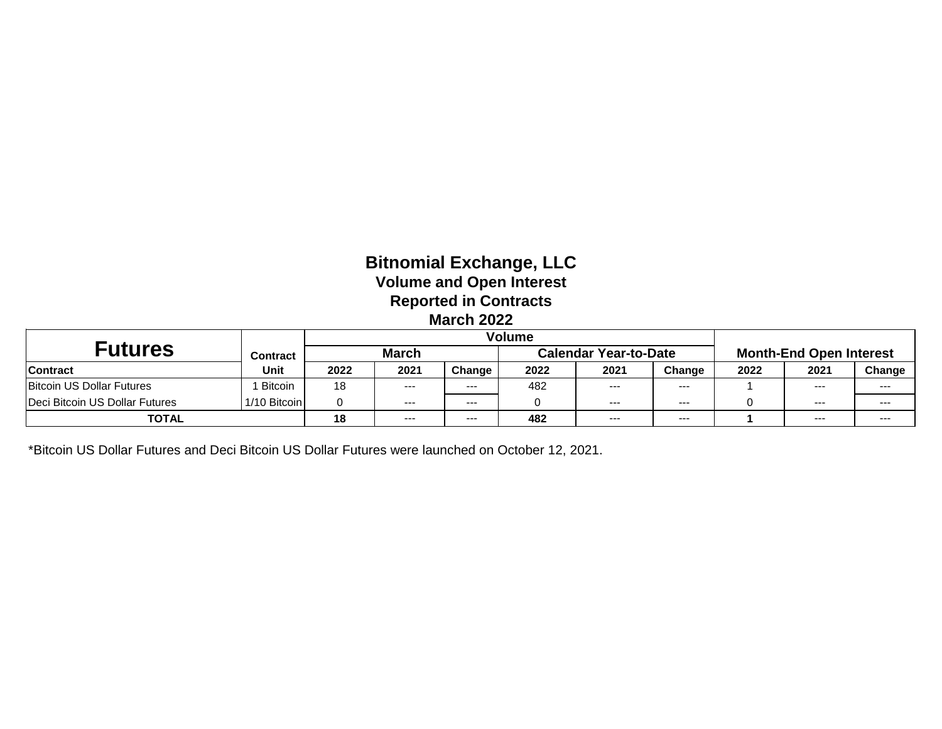# **Bitnomial Exchange, LLC Volume and Open Interest Reported in Contracts March 2022**

|                                  |                | Volume       |       |         |      |                              |        |                                |         |         |
|----------------------------------|----------------|--------------|-------|---------|------|------------------------------|--------|--------------------------------|---------|---------|
| <b>Futures</b>                   | Contract       | <b>March</b> |       |         |      | <b>Calendar Year-to-Date</b> |        | <b>Month-End Open Interest</b> |         |         |
| <b>Contract</b>                  | <b>Unit</b>    | 2022         | 2021  | Change  | 2022 | 2021                         | Change | 2022                           | 2021    | Change  |
| <b>Bitcoin US Dollar Futures</b> | <b>Bitcoin</b> | 18           | $---$ | $- - -$ | 482  | $  -$                        | $--$   |                                | $--$    | $--$    |
| Deci Bitcoin US Dollar Futures   | 1/10 Bitcoin   |              | ---   | $- - -$ |      | $- - -$                      | $---$  |                                | $- - -$ | $- - -$ |
| <b>TOTAL</b>                     |                | 18           | $--$  | $- - -$ | 482  | $--$                         | $--$   |                                | $--$    | $--$    |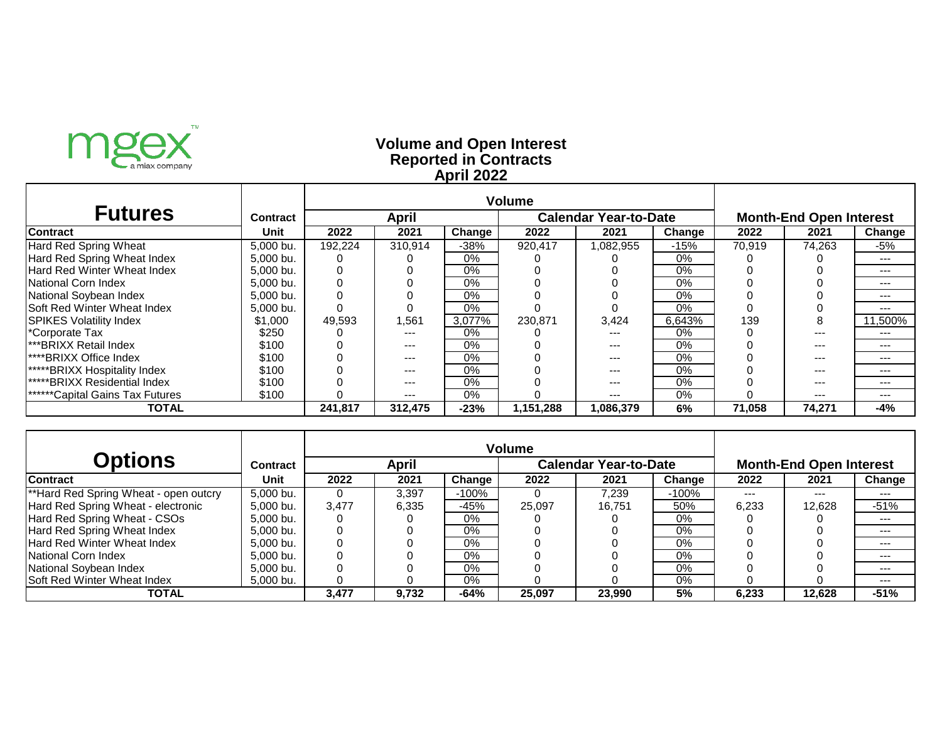

### **Reported in Contracts Volume and Open Interest April 2022**

| <b>Futures</b>                         | <b>Contract</b> |         | April   |        |           | <b>Calendar Year-to-Date</b> |        | <b>Month-End Open Interest</b> |         |         |  |
|----------------------------------------|-----------------|---------|---------|--------|-----------|------------------------------|--------|--------------------------------|---------|---------|--|
| <b>Contract</b>                        | Unit            | 2022    | 2021    | Change | 2022      | 2021                         | Change | 2022                           | 2021    | Change  |  |
| Hard Red Spring Wheat                  | 5,000 bu.       | 192.224 | 310.914 | -38%   | 920,417   | .082,955                     | $-15%$ | 70,919                         | 74.263  | -5%     |  |
| Hard Red Spring Wheat Index            | 5,000 bu.       |         |         | $0\%$  |           |                              | $0\%$  |                                |         | $---$   |  |
| <b>Hard Red Winter Wheat Index</b>     | 5.000 bu.       |         |         | $0\%$  |           |                              | $0\%$  |                                |         | $- - -$ |  |
| National Corn Index                    | 5,000 bu.       |         |         | $0\%$  |           |                              | $0\%$  |                                |         | $--$    |  |
| National Soybean Index                 | 5,000 bu.       |         |         | $0\%$  |           |                              | $0\%$  |                                |         | ---     |  |
| <b>Soft Red Winter Wheat Index</b>     | 5.000 bu.       |         |         | $0\%$  |           |                              | $0\%$  |                                |         |         |  |
| <b>ISPIKES Volatility Index</b>        | \$1,000         | 49,593  | 561,    | 3.077% | 230.871   | 3,424                        | 6.643% | 139                            | 8       | 11.500% |  |
| *Corporate Tax                         | \$250           |         | $---$   | $0\%$  |           |                              | $0\%$  |                                |         | ---     |  |
| <b>I***BRIXX Retail Index</b>          | \$100           |         | $---$   | $0\%$  |           | ---                          | $0\%$  |                                |         | ---     |  |
| <b>I****BRIXX Office Index</b>         | \$100           |         | $--$    | $0\%$  |           | ---                          | $0\%$  |                                |         | ---     |  |
| *****BRIXX Hospitality Index           | \$100           |         | $--$    | $0\%$  |           | ---                          | $0\%$  |                                | $- - -$ | $---$   |  |
| <b>*****BRIXX Residential Index</b>    | \$100           |         | $--$    | $0\%$  |           | ---                          | $0\%$  |                                | $- - -$ | $---$   |  |
| <b>******Capital Gains Tax Futures</b> | \$100           |         | ---     | $0\%$  |           | $---$                        | $0\%$  |                                | $--$    | $--$    |  |
| TOTAL                                  |                 | 241.817 | 312.475 | $-23%$ | 1,151,288 | 1,086.379                    | 6%     | 71,058                         | 74,271  | -4%     |  |

|                                       |           | <b>Volume</b> |       |         |                              |        |         |                                |        |        |  |
|---------------------------------------|-----------|---------------|-------|---------|------------------------------|--------|---------|--------------------------------|--------|--------|--|
| <b>Options</b>                        | Contract  |               | April |         | <b>Calendar Year-to-Date</b> |        |         | <b>Month-End Open Interest</b> |        |        |  |
| <b>Contract</b>                       | Unit      | 2022          | 2021  | Change  | 2022                         | 2021   | Change  | 2022                           | 2021   | Change |  |
| **Hard Red Spring Wheat - open outcry | 5.000 bu. | $\Omega$      | 3.397 | $-100%$ |                              | 7.239  | $-100%$ | $---$                          | $--$   | ---    |  |
| Hard Red Spring Wheat - electronic    | 5,000 bu. | 3.477         | 6,335 | -45%    | 25.097                       | 16.751 | 50%     | 6,233                          | 12,628 | $-51%$ |  |
| Hard Red Spring Wheat - CSOs          | 5.000 bu. | 0             |       | $0\%$   |                              |        | 0%      |                                |        | $---$  |  |
| Hard Red Spring Wheat Index           | 5.000 bu. | O             |       | 0%      |                              |        | $0\%$   |                                |        | $---$  |  |
| <b>Hard Red Winter Wheat Index</b>    | 5.000 bu. |               |       | $0\%$   |                              |        | $0\%$   |                                |        | ---    |  |
| <b>National Corn Index</b>            | 5.000 bu. |               |       | 0%      |                              |        | $0\%$   |                                |        | $--$   |  |
| National Soybean Index                | 5.000 bu. |               |       | 0%      |                              |        | 0%      |                                |        | ---    |  |
| Soft Red Winter Wheat Index           | 5,000 bu. |               |       | 0%      |                              |        | $0\%$   |                                |        | $---$  |  |
| <b>TOTAL</b>                          |           | 3,477         | 9.732 | $-64%$  | 25,097                       | 23,990 | 5%      | 6,233                          | 12.628 | $-51%$ |  |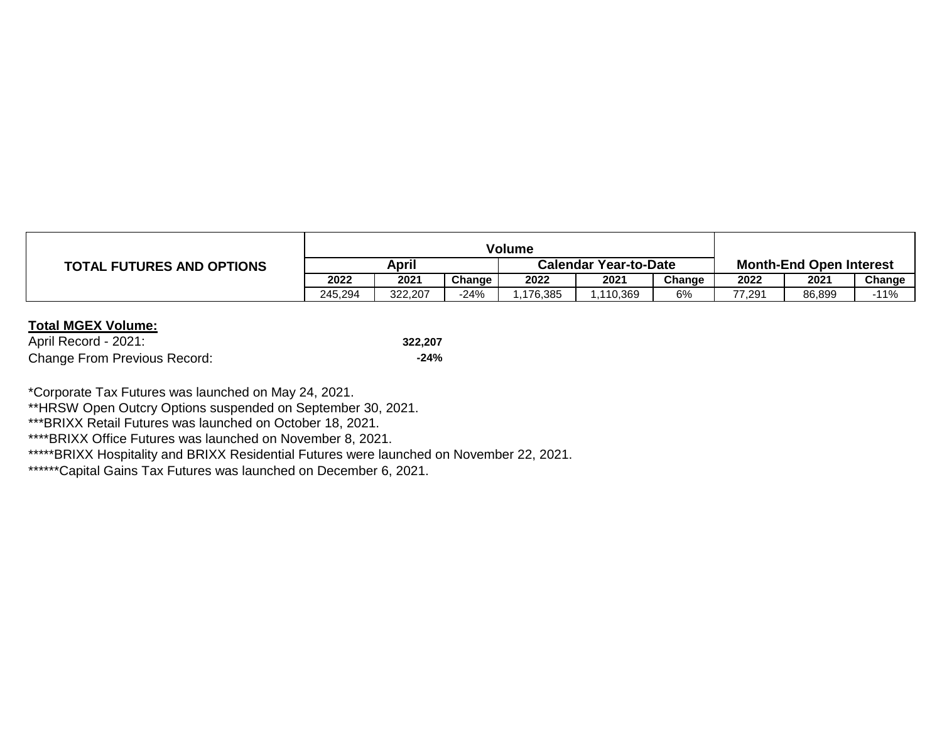|                                  | Volume  |         |        |                              |          |        |                                |         |        |
|----------------------------------|---------|---------|--------|------------------------------|----------|--------|--------------------------------|---------|--------|
| <b>TOTAL FUTURES AND OPTIONS</b> | April   |         |        | <b>Calendar Year-to-Date</b> |          |        | <b>Month-End Open Interest</b> |         |        |
|                                  | 2022    | 2021    | Change | 2022                         | 2021     | Change | 2022                           | $202^t$ | Change |
|                                  | 245.294 | 322,207 | 24%    | .176,385                     | .110.369 | 6%     | 77.291                         | 86.899  | $-11%$ |

| April Record - 2021:                | 322.207 |
|-------------------------------------|---------|
| <b>Change From Previous Record:</b> | $-24%$  |

\*Corporate Tax Futures was launched on May 24, 2021.

\*\*HRSW Open Outcry Options suspended on September 30, 2021.

\*\*\*BRIXX Retail Futures was launched on October 18, 2021.

\*\*\*\*BRIXX Office Futures was launched on November 8, 2021.

\*\*\*\*\*BRIXX Hospitality and BRIXX Residential Futures were launched on November 22, 2021.